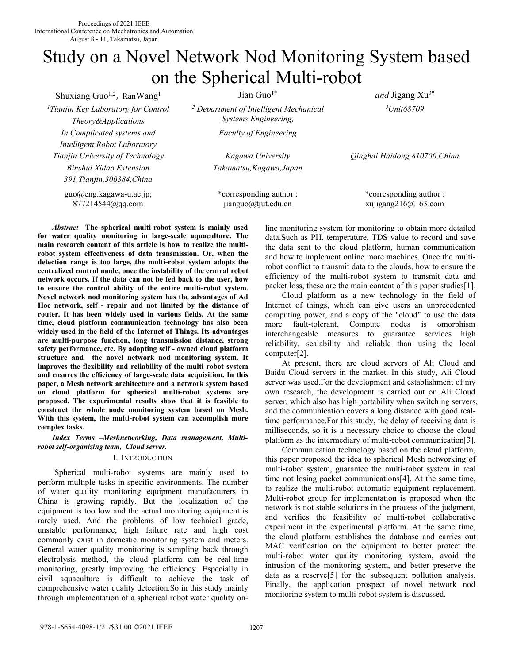# Study on a Novel Network Nod Monitoring System based on the Spherical Multi-robot

Shuxiang Guo<sup>1,2</sup>, RanWang<sup>1</sup> Jian *<sup>1</sup>Tianjin Key Laboratory for Control Theory&Applications*

*In Complicated systems and Intelligent Robot Laboratory Tianjin University of Technology Binshui Xidao Extension 391,Tianjin,300384,China*

> guo@eng.kagawa-u.ac.jp; 877214544@qq.com

Jian Guo $1^*$ 

*<sup>2</sup> Department of Intelligent Mechanical Systems Engineering, <sup>3</sup>Unit68709 Faculty of Engineering*

*Kagawa University Takamatsu,Kagawa,Japan*

\*corresponding author : jianguo@tjut.edu.cn

and Jigang Xu<sup>3\*</sup> 3\*

*Qinghai Haidong,810700,China*

\*corresponding author : xujigang216@163.com

*Abstract* **–The spherical multi-robot system is mainly used for water quality monitoring in large-scale aquaculture. The main research content of this article ishow to realize the multi robot system effectiveness of data transmission. Or, when the detection range istoo large, the multi-robot system adopts the centralized control mode, once the instability of the central robot network occurs. If the data can not be fed back to the user, how to ensure the control ability of the entire multi-robot system. Novel network nod monitoring system has the advantages of Ad Hoc network, self - repair and not limited by the distance of router. It has been widely used in various fields. At the same time, cloud platform communication technology has also been widely used in the field of the Internet of Things. Its advantages are multi-purpose function, long transmission distance, strong safety performance, etc. By adopting self - owned cloud platform structure and the novelnetwork nod monitoring system. It improves the flexibility and reliability of the multi-robot system and ensures the efficiency of large-scale data acquisition. In this paper, a Mesh network architecture and a network system based on cloud platform for spherical multi-robot systems are proposed. The experimental results show that it is feasible to construct the whole node monitoring system based on Mesh. With this system, the multi-robot system can accomplish more complex tasks.**

*Index Terms –Meshnetworking, Data management, Multi robot self-organizing team, Cloud server.*

## I. INTRODUCTION

Spherical multi-robot systems are mainly used to perform multiple tasks in specific environments. The number of water quality monitoring equipment manufacturers in China is growing rapidly. But the localization of the equipment is too low and the actual monitoring equipment is rarely used. And the problems of low technical grade, unstable performance, high failure rate and high cost commonly exist in domestic monitoring system and meters. General water quality monitoring is sampling back through electrolysis method, the cloud platform can be real-time monitoring, greatly improving the efficiency. Especially in civil aquaculture is difficult to achieve the task of comprehensive water quality detection.So in this study mainly through implementation of a spherical robot water quality online monitoring system for monitoring to obtain more detailed data.Such as PH, temperature, TDS value to record and save the data sent to the cloud platform, human communication and how to implement online more machines. Once the multirobot conflict to transmit data to the clouds, how to ensure the efficiency of the multi-robot system to transmit data and packet loss, these are the main content of this paper studies[1].

Cloud platform as a new technology in the field of Internet of things, which can give users an unprecedented computing power, and a copy of the "cloud" to use the data fault-tolerant. Compute nodes is omorphism interchangeable measures to guarantee services high reliability, scalability and reliable than using the local computer[2].

At present, there are cloud servers of Ali Cloud and Baidu Cloud servers in the market. In this study,Ali Cloud server was used.For the development and establishment of my own research, the development is carried out on Ali Cloud server, which also has high portability when switching servers, and the communication covers a long distance with good realtime performance.For this study, the delay of receiving data is milliseconds, so it is a necessary choice to choose the cloud platform as the intermediary of multi-robot communication[3].

Communication technology based on the cloud platform, this paper proposed the idea to spherical Mesh networking of multi-robot system, guarantee the multi-robot system in real time not losing packet communications[4]. At the same time, to realize the multi-robot automatic equipment replacement. Multi-robot group for implementation is proposed when the network is not stable solutions in the process of the judgment, and verifies the feasibility of multi-robot collaborative experiment in the experimental platform. At the same time, the cloud platform establishes the database and carries out MAC verification on the equipment to better protect the multi-robot water quality monitoring system, avoid the intrusion of the monitoring system, and better preserve the data as a reserve[5] for the subsequent pollution analysis. Finally, the application prospect of novel network nod monitoring system to multi-robot system is discussed.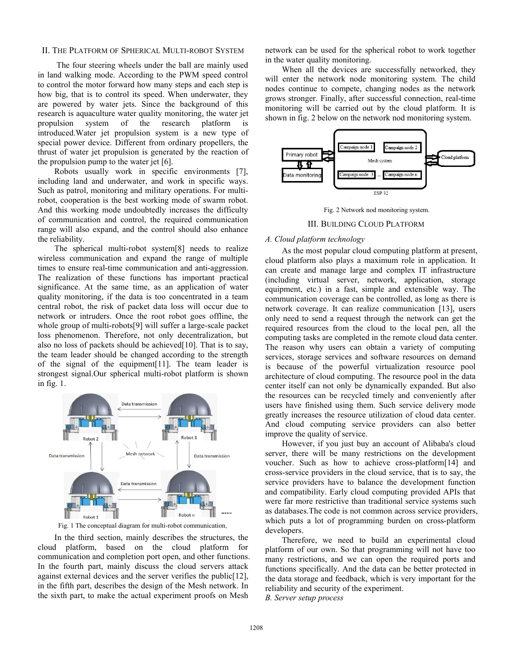## II. THE PLATFORM OF SPHERICAL MULTI-ROBOT SYSTEM

The four steering wheels under the ball are mainly used in land walking mode. According to the PWM speed control to control the motor forward how many steps and each step is how big, that is to control its speed. When underwater, they are powered by water jets. Since the background of this research is aquaculture water quality monitoring, the water jet propulsion system of the research platform is introduced.Water jet propulsion system is a new type of special power device. Different from ordinary propellers, the thrust of water jet propulsion is generated by the reaction of the propulsion pump to the water jet [6].

Robots usually work in specific environments  $[7]$ ,  $\overline{\smash{\big)}\smash{\big)}\smash{\big)}\smash{\big)}\smash{\big]}$ including land and underwater, and work in specific ways. Such as patrol, monitoring and military operations. For multirobot, cooperation is the best working mode of swarm robot. And this working mode undoubtedly increases the difficulty of communication and control, the required communication range will also expand, and the control should also enhance the reliability.

The spherical multi-robot system[8] needs to realize wireless communication and expand the range of multiple times to ensure real-time communication and anti-aggression. The realization of these functions has important practical significance. At the same time, as an application of water quality monitoring, if the data is too concentrated in a team central robot, the risk of packet data loss will occur due to network or intruders. Once the root robot goes offline, the whole group of multi-robots[9] will suffer a large-scale packet loss phenomenon. Therefore, not only decentralization, but also no loss of packets should be achieved[10]. That is to say, the team leader should be changed according to the strength of the signal of the equipment[11]. The team leader is strongest signal.Our spherical multi-robot platform is shown in fig. 1.



Fig. 1 The conceptual diagram for multi-robot communication.

In the third section, mainly describes the structures, the cloud platform, based on the cloud platform for communication and completion port open, and other functions. In the fourth part, mainly discuss the cloud servers attack against external devices and the server verifies the public[12], in the fifth part, describes the design of the Mesh network. In the sixth part, to make the actual experiment proofs on Mesh

network can be used for the spherical robot to work together in the water quality monitoring.

When all the devices are successfully networked, they will enter the network node monitoring system. The child nodes continue to compete, changing nodes as the network grows stronger. Finally, after successful connection, real-time monitoring will be carried out by the cloud platform. It is shown in fig. 2 below on the network nod monitoring system.



Fig. 2 Network nod monitoring system.



## *A. Cloud platform technology*

As the most popular cloud computing platform at present, cloud platform also plays a maximum role in application. It can create and manage large and complex IT infrastructure (including virtual server, network, application, storage equipment, etc.) in a fast, simple and extensible way. The communication coverage can be controlled, as long as there is network coverage. It can realize communication [13], users only need to send a request through the network can get the required resources from the cloud to the local pen, all the computing tasks are completed in the remote cloud data center. The reason why users can obtain a variety of computing services, storage services and software resources on demand is because of the powerful virtualization resource pool architecture of cloud computing. The resource pool in the data center itself can not only be dynamically expanded. But also the resources can be recycled timely and conveniently after users have finished using them. Such service delivery mode greatly increases the resource utilization of cloud data center. And cloud computing service providers can also better improve the quality of service.

However, if you just buy an account of Alibaba's cloud server, there will be many restrictions on the development voucher. Such as how to achieve cross-platform[14] and cross-service providers in the cloud service, that is to say, the service providers have to balance the development function and compatibility. Early cloud computing provided APIs that were far more restrictive than traditional service systems such as databases.The code is not common across service providers, which puts a lot of programming burden on cross-platform developers.

Therefore, we need to build an experimental cloud platform of our own. So that programming will not have too many restrictions, and we can open the required ports and functions specifically. And the data can be better protected in the data storage and feedback, which is very important for the reliability and security of the experiment. *B. Server setup process*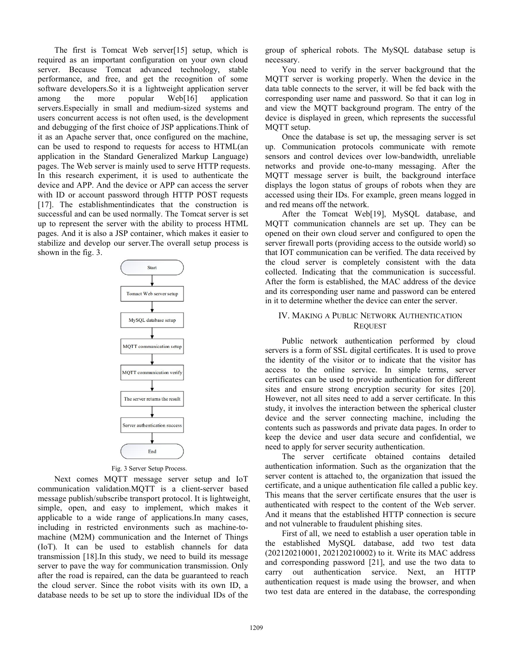The first is Tomcat Web server[15] setup, which is required as an important configuration on your own cloud server. Because Tomcat advanced technology, stable performance, and free, and get the recognition of some software developers.So it is a lightweight application server servers.Especially in small and medium-sized systems and users concurrent access is not often used, is the development and debugging of the first choice of JSP applications.Think of it as an Apache server that, once configured on the machine, can be used to respond to requests for access to HTML(an application in the Standard Generalized Markup Language) pages. The Web server is mainly used to serve HTTP requests. In this research experiment, it is used to authenticate the device and APP. And the device or APP can access the server with ID or account password through HTTP POST requests [17]. The establishmentindicates that the construction is successful and can be used normally. The Tomcat server is set up to represent the server with the ability to process HTML pages. And it is also a JSP container, which makes it easier to stabilize and develop our server.The overall setup process is shown in the fig. 3.



Fig. 3 Server Setup Process.

Next comes MQTT message server setup and IoT communication validation.MQTT is a client-server based message publish/subscribe transport protocol. It is lightweight, simple, open, and easy to implement, which makes it applicable to a wide range of applications.In many cases, including in restricted environments such as machine-to machine (M2M) communication and the Internet of Things (IoT). It can be used to establish channels for data transmission [18].In this study, we need to build its message server to pave the way for communication transmission. Only after the road is repaired, can the data be guaranteed to reach the cloud server. Since the robot visits with its own ID, a database needs to be set up to store the individual IDs of the

group of spherical robots. The MySQL database setup is necessary.

among the more popular Web[16] application corresponding user name and password. So that it can log in You need to verify in the server background that the MQTT server is working properly. When the device in the data table connects to the server, it will be fed back with the and view the MQTT background program. The entry of the device is displayed in green, which represents the successful MQTT setup.

> Once the database is set up, the messaging server is set up. Communication protocols communicate with remote sensors and control devices over low-bandwidth, unreliable networks and provide one-to-many messaging. After the MQTT message server is built, the background interface displays the logon status of groups of robots when they are accessed using their IDs. For example, green means logged in and red means off the network.

> After the Tomcat Web[19], MySQL database, and MQTT communication channels are set up. They can be opened on their own cloud server and configured to open the server firewall ports (providing access to the outside world) so that IOT communication can be verified.The data received by the cloud server is completely consistent with the data collected. Indicating that the communication is successful. After the form is established, the MAC address of the device and its corresponding user name and password can be entered in it to determine whether the device can enter the server.

## IV. MAKING A PUBLIC NETWORK AUTHENTICATION **REQUEST**

Public network authentication performed by cloud servers is a form of SSL digital certificates. It is used to prove the identity of the visitor or to indicate that the visitor has access to the online service. In simple terms, server certificates can be used to provide authentication for different sites and ensure strong encryption security for sites [20]. However, not all sites need to add a server certificate. In this study, it involves the interaction between the spherical cluster device and the server connecting machine, including the contents such as passwords and private data pages. In order to keep the device and user data secure and confidential, we need to apply for server security authentication.

The server certificate obtained contains detailed authentication information. Such as the organization that the server content is attached to, the organization that issued the certificate, and a unique authentication file called a public key. This means that the server certificate ensures that the user is authenticated with respect to the content of the Web server. And it means that the established HTTP connection is secure and not vulnerable to fraudulent phishing sites.

First of all,we need to establish a user operation table in the established MySQL database, add two test data (202120210001, 202120210002) to it. Write its MAC address and corresponding password [21], and use the two data to carry out authentication service. Next, an HTTP authentication request is made using the browser, and when two test data are entered in the database, the corresponding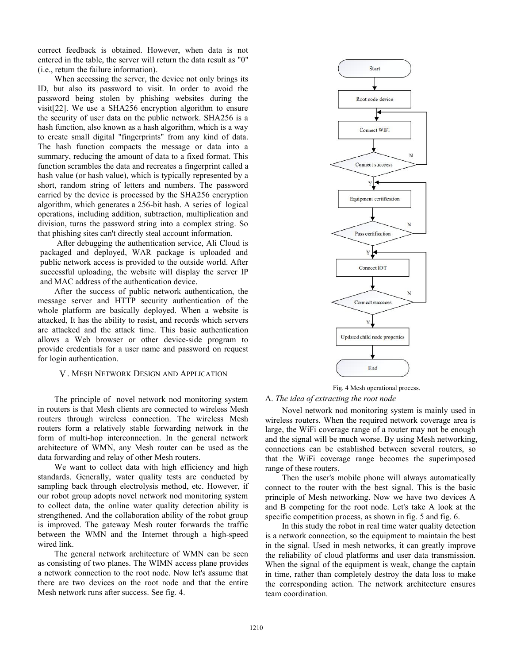correct feedback is obtained. However, when data is not entered in the table, the server will return the data result as "0" (i.e., return the failure information).

When accessing the server, the device not only brings its ID, but also its password to visit. In order to avoid the password being stolen by phishing websites during the visit[22]. We use a SHA256 encryption algorithm to ensure the security of userdata on the public network. SHA256 is a hash function, also known as a hash algorithm, which is a way to create small digital "fingerprints" from any kind of data. The hash function compacts the message or data into a summary, reducing the amount of data to a fixed format. This function scrambles the data and recreates a fingerprint called a hash value (or hash value), which is typically represented by a short, random string of letters and numbers. The password carried by the device is processed by the SHA256 encryption algorithm, which generates a 256-bit hash. A series of logical operations, including addition, subtraction, multiplication and division, turns the password string into a complex string. So that phishing sites can't directly steal account information.

After debugging the authentication service, Ali Cloud is packaged and deployed, WAR package is uploaded and public network access is provided to the outside world. After successful uploading, the website will display the server IP and MAC address of the authentication device.

After the success of public network authentication, the message server and HTTP security authentication of the whole platform are basically deployed. When a website is attacked, It has the ability to resist, and records which servers are attacked and the attack time. This basic authentication allows a Web browser or other device-side program to Updated child node properties provide credentials for a user name and password on request for login authentication.

### Ⅴ. MESH NETWORK DESIGN AND APPLICATION

The principle of novel network nod monitoring system in routers is that Mesh clients are connected to wireless Mesh routers through wireless connection. The wireless Mesh routers form a relatively stable forwarding network in the form of multi-hop interconnection. In the general network architecture of WMN, any Mesh router can be used as the data forwarding and relay of other Mesh routers.

We want to collect data with high efficiency and high standards. Generally, water quality tests are conducted by sampling back through electrolysis method, etc. However, if our robot group adopts novel network nod monitoring system to collect data, the online water quality detection ability is strengthened. And the collaboration ability of the robot group is improved. The gateway Mesh router forwards the traffic between the WMN and the Internet through a high-speed wired link.

The general network architecture of WMN can be seen as consisting of two planes. The WIMN access plane provides a network connection to the root node. Now let's assume that there are two devices on the root node and that the entire Mesh network runs after success. See fig. 4.



Fig. 4 Mesh operational process.

## A. *The idea of extracting the root node*

Novel network nod monitoring system is mainly used in wireless routers. When the required network coverage area is large, the WiFi coverage range of a router may not be enough and the signal will be much worse. By using Mesh networking, connections can be established between several routers, so that the WiFi coverage range becomes the superimposed range of these routers.

Then the user's mobile phone will always automatically connect to the router with the best signal. This is the basic principle of Mesh networking. Now we have two devices A and B competing for the root node. Let's take A look at the specific competition process, as shown in fig. 5 and fig. 6.

In this study the robot in real time water quality detection is a network connection, so the equipment to maintain the best in the signal. Used in mesh networks, it can greatly improve the reliability of cloud platforms and user data transmission. When the signal of the equipment is weak, change the captain in time, rather than completely destroy the data loss to make the corresponding action. The network architecture ensures team coordination.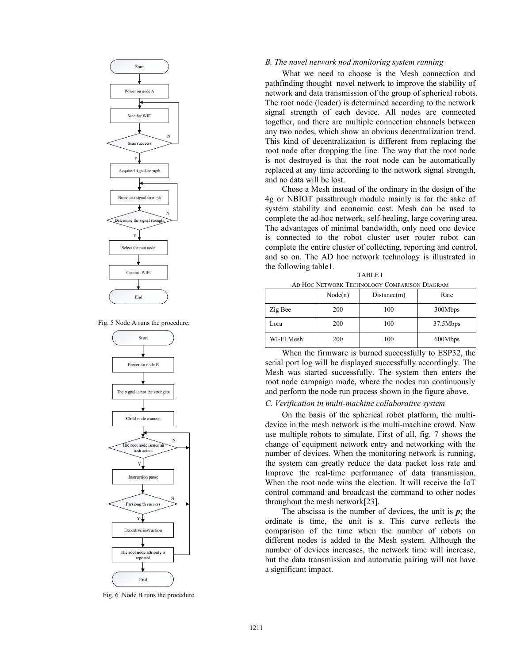

Fig. 5 Node A runs the procedure.



Fig. 6 Node B runs the procedure.

#### *B. The novel network nod monitoring system running*

What we need to choose is the Mesh connection and pathfinding thought novel network to improve the stability of network and data transmission of the group of spherical robots. The root node (leader) is determined according to the network signal strength of each device. All nodes are connected together, and there are multiple connection channels between any two nodes, which show an obvious decentralization trend. This kind of decentralization is different from replacing the root node after dropping the line. The way that the root node is not destroyed is that the root node can be automatically replaced at any time according to the network signal strength, and no data will be lost.

Chose a Mesh instead of the ordinary in the design of the 4g or NBIOT passthrough module mainly is for the sake of system stability and economic cost. Mesh can be used to complete the ad-hoc network, self-healing, large covering area. The advantages of minimal bandwidth, only need one device is connected to the robot cluster user router robot can complete the entire cluster of collecting, reporting and control, and so on. The AD hoc network technology is illustrated in the following table1.

|            | Node(n) | Distance(m) | Rate     |
|------------|---------|-------------|----------|
| Zig Bee    | 200     | 100         | 300Mbps  |
| Lora       | 200     | 100         | 37.5Mbps |
| WI-FI Mesh | 200     | 100         | 600Mbps  |

TABLE I

When the firmware is burned successfully to ESP32, the serial port log will be displayed successfully accordingly. The Mesh was started successfully. The system then enters the root node campaign mode, where the nodes run continuously and perform the node run process shown in the figure above.

### *C. Verification in multi-machine collaborative system*

On the basis of the spherical robot platform, the multi device in the mesh network is the multi-machine crowd. Now use multiple robots to simulate. First of all, fig. 7 shows the change of equipment network entry and networking with the number of devices. When the monitoring network is running, the system can greatly reduce the data packet loss rate and Improve the real-time performance of data transmission. When the root node wins the election. It will receive the IoT control command and broadcast the command to other nodes throughout the mesh network[23].

The abscissa is the number of devices, the unit is  $p$ ; the ordinate is time, the unit is *s*. This curve reflects the comparison of the time when the number of robots on different nodes is added to the Mesh system. Although the number of devices increases, the network time will increase, but the data transmission and automatic pairing will not have a significant impact.